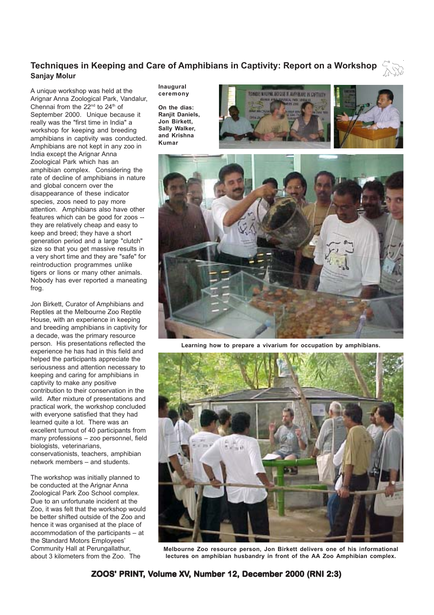# **Techniques in Keeping and Care of Amphibians in Captivity: Report on a Workshop Sanjay Molur**

A unique workshop was held at the Arignar Anna Zoological Park, Vandalur, Chennai from the 22<sup>nd</sup> to 24<sup>th</sup> of September 2000. Unique because it really was the "first time in India" a workshop for keeping and breeding amphibians in captivity was conducted. Amphibians are not kept in any zoo in India except the Arignar Anna Zoological Park which has an amphibian complex. Considering the rate of decline of amphibians in nature and global concern over the disappearance of these indicator species, zoos need to pay more attention. Amphibians also have other features which can be good for zoos - they are relatively cheap and easy to keep and breed; they have a short generation period and a large "clutch" size so that you get massive results in a very short time and they are "safe" for reintroduction programmes unlike tigers or lions or many other animals. Nobody has ever reported a maneating frog.

Jon Birkett, Curator of Amphibians and Reptiles at the Melbourne Zoo Reptile House, with an experience in keeping and breeding amphibians in captivity for a decade, was the primary resource person. His presentations reflected the experience he has had in this field and helped the participants appreciate the seriousness and attention necessary to keeping and caring for amphibians in captivity to make any positive contribution to their conservation in the wild. After mixture of presentations and practical work, the workshop concluded with everyone satisfied that they had learned quite a lot. There was an excellent turnout of 40 participants from many professions – zoo personnel, field biologists, veterinarians, conservationists, teachers, amphibian network members – and students.

The workshop was initially planned to be conducted at the Arignar Anna Zoological Park Zoo School complex. Due to an unfortunate incident at the Zoo, it was felt that the workshop would be better shifted outside of the Zoo and hence it was organised at the place of accommodation of the participants – at the Standard Motors Employees' Community Hall at Perungallathur, about 3 kilometers from the Zoo. The

**Inaugural ceremony**

**On the dias: Ranjit Daniels, Jon Birkett, Sally Walker, and Krishna Kumar**





**Learning how to prepare a vivarium for occupation by amphibians.**



**Melbourne Zoo resource person, Jon Birkett delivers one of his informational lectures on amphibian husbandry in front of the AA Zoo Amphibian complex.**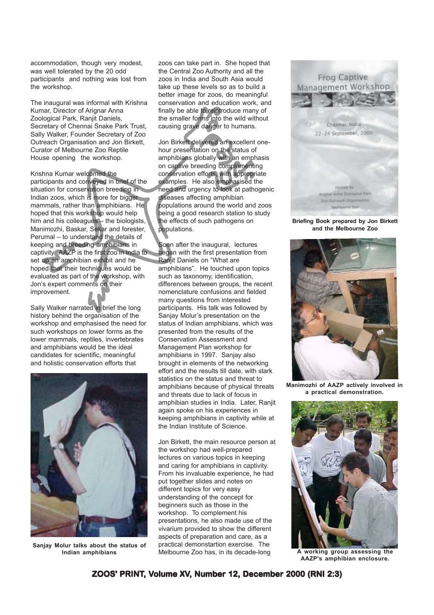accommodation, though very modest, was well tolerated by the 20 odd participants and nothing was lost from the workshop.

The inaugural was informal with Krishna Kumar, Director of Arignar Anna Zoological Park, Ranjit Daniels, Secretary of Chennai Snake Park Trust, Sally Walker, Founder Secretary of Zoo Outreach Organisation and Jon Birkett, Curator of Melbourne Zoo Reptile House opening the workshop.

Krishna Kumar welcomed the participants and conveyed in brief of the situation for conservation breeding in Indian zoos, which is more for bigger mammals, rather than amphibians. He hoped that this workshop would help him and his colleagues – the biologists, Manimozhi, Baskar, Sekar and forester, Perumal – to understand the details of keeping and breeding amphibians in captivity. AAZP is the first zoo in India to set up an amphibian exhibit and he hoped that their techniques would be evaluated as part of the workshop, with Jon's expert comments on their improvement.

Sally Walker narrated in brief the long history behind the organisation of the workshop and emphasised the need for such workshops on lower forms as the lower mammals, reptiles, invertebrates and amphibians would be the ideal candidates for scientific, meaningful and holistic conservation efforts that



**Sanjay Molur talks about the status of Indian amphibians**

zoos can take part in. She hoped that the Central Zoo Authority and all the zoos in India and South Asia would take up these levels so as to build a better image for zoos, do meaningful conservation and education work, and finally be able to reintroduce many of the smaller forms into the wild without causing grave danger to humans.

Jon Birkett delivered an excellent onehour presentation on the status of amphibians globally with an emphasis on captive breeding complementing conservation efforts, with appropriate examples. He also emphasised the need and urgency to look at pathogenic diseases affecting amphibian populations around the world and zoos being a good research station to study the effects of such pathogens on populations.

Soon after the inaugural, lectures began with the first presentation from Ranjit Daniels on "What are amphibians". He touched upon topics such as taxonomy, identification, differences between groups, the recent nomenclature confusions and fielded many questions from interested participants. His talk was followed by Sanjay Molur's presentation on the status of Indian amphibians, which was presented from the results of the Conservation Assessment and Management Plan workshop for amphibians in 1997. Sanjay also brought in elements of the networking effort and the results till date, with stark statistics on the status and threat to amphibians because of physical threats and threats due to lack of focus in amphibian studies in India. Later, Ranjit again spoke on his experiences in keeping amphibians in captivity while at the Indian Institute of Science.

Jon Birkett, the main resource person at the workshop had well-prepared lectures on various topics in keeping and caring for amphibians in captivity. From his invaluable experience, he had put together slides and notes on different topics for very easy understanding of the concept for beginners such as those in the workshop. To complement his presentations, he also made use of the vivarium provided to show the different aspects of preparation and care, as a practical demonstartion exercise. The Melbourne Zoo has, in its decade-long



**Briefing Book prepared by Jon Birkett and the Melbourne Zoo**



**Manimozhi of AAZP actively involved in a practical demonstration.**



**A working group assessing the AAZP's amphibian enclosure.**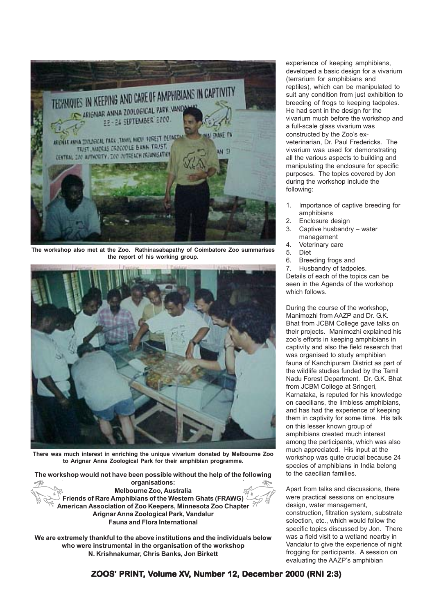

**The workshop also met at the Zoo. Rathinasabapathy of Coimbatore Zoo summarises the report of his working group.**



**There was much interest in enriching the unique vivarium donated by Melbourne Zoo to Arignar Anna Zoological Park for their amphibian programme.**

**The workshop would not have been possible without the help of the following organisations: Melbourne Zoo, Australia Friends of Rare Amphibians of the Western Ghats (FRAWG) American Association of Zoo Keepers, Minnesota Zoo Chapter Arignar Anna Zoological Park, Vandalur Fauna and Flora International**

**We are extremely thankful to the above institutions and the individuals below who were instrumental in the organisation of the workshop N. Krishnakumar, Chris Banks, Jon Birkett**

experience of keeping amphibians, developed a basic design for a vivarium (terrarium for amphibians and reptiles), which can be manipulated to suit any condition from just exhibition to breeding of frogs to keeping tadpoles. He had sent in the design for the vivarium much before the workshop and a full-scale glass vivarium was constructed by the Zoo's exveterinarian, Dr. Paul Fredericks. The vivarium was used for demonstrating all the various aspects to building and manipulating the enclosure for specific purposes. The topics covered by Jon during the workshop include the following:

- 1. Importance of captive breeding for amphibians
- 2. Enclosure design
- 3. Captive husbandry water management
- 4. Veterinary care
- 5. Diet
- 6. Breeding frogs and
- 7. Husbandry of tadpoles.

Details of each of the topics can be seen in the Agenda of the workshop which follows.

During the course of the workshop, Manimozhi from AAZP and Dr. G.K. Bhat from JCBM College gave talks on their projects. Manimozhi explained his zoo's efforts in keeping amphibians in captivity and also the field research that was organised to study amphibian fauna of Kanchipuram District as part of the wildlife studies funded by the Tamil Nadu Forest Department. Dr. G.K. Bhat from JCBM College at Sringeri, Karnataka, is reputed for his knowledge on caecilians, the limbless amphibians, and has had the experience of keeping them in captivity for some time. His talk on this lesser known group of amphibians created much interest among the participants, which was also much appreciated. His input at the workshop was quite crucial because 24 species of amphibians in India belong to the caecilian families.

Apart from talks and discussions, there were practical sessions on enclosure design, water management. construction, filtration system, substrate selection, etc., which would follow the specific topics discussed by Jon. There was a field visit to a wetland nearby in Vandalur to give the experience of night frogging for participants. A session on evaluating the AAZP's amphibian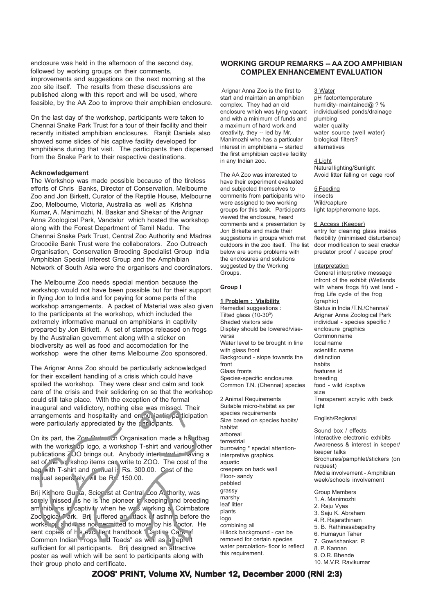enclosure was held in the afternoon of the second day, followed by working groups on their comments, improvements and suggestions on the next morning at the zoo site itself. The results from these discussions are published along with this report and will be used, where feasible, by the AA Zoo to improve their amphibian enclosure.

On the last day of the workshop, participants were taken to Chennai Snake Park Trust for a tour of their facility and their recently initiated amphibian enclosures. Ranjit Daniels also showed some slides of his captive facility developed for amphibians during that visit. The participants then dispersed from the Snake Park to their respective destinations.

### **Acknowledgement**

The Workshop was made possible because of the tireless efforts of Chris Banks, Director of Conservation, Melbourne Zoo and Jon Birkett, Curator of the Reptile House, Melbourne Zoo, Melbourne, Victoria, Australia as well as Krishna Kumar, A. Manimozhi, N. Baskar and Shekar of the Arignar Anna Zoological Park, Vandalur which hosted the workshop along with the Forest Department of Tamil Nadu. The Chennai Snake Park Trust, Central Zoo Authority and Madras Crocodile Bank Trust were the collaborators. Zoo Outreach Organisation, Conservation Breeding Specialist Group India Amphibian Special Interest Group and the Amphibian Network of South Asia were the organisers and coordinators.

The Melbourne Zoo needs special mention because the workshop would not have been possible but for their support in flying Jon to India and for paying for some parts of the workshop arrangements. A packet of Material was also given to the participants at the workshop, which included the extremely informative manual on amphibians in captivity prepared by Jon Birkett. A set of stamps released on frogs by the Australian government along with a sticker on biodiversity as well as food and accomodation for the workshop were the other items Melbourne Zoo sponsored.

The Arignar Anna Zoo should be particularly acknowledged for their excellent handling of a crisis which could have spoiled the workshop. They were clear and calm and took care of the crisis and their solidering on so that the workshop could still take place. With the exception of the formal inaugural and validictory, nothing else was missed. Their arrangements and hospitality and enthusiastic participation were particularly appreciated by the  $p$  ar idepents.

On its part, the Zoo Outreach Organisation made a handbag with the workshop, a workshop T-shirt and various other publications 700 brings out. Anybody interested in having a set of the workshop items can write to ZOO. The cost of the bag with T-shirt and manual is Rs. 300.00. Cost of the ma ual seperately will be Rs. 150.00.

Brij Kishore Gurta, Scientist at Central Zoo Authority, was sorely nissed as he is the pioneer in keeping and breeding am hibians in captivity when he was working a Coimbatore Zoological Park. Brij suffered an attack of asthma before the workshop and was not permitted to move by his doctor. He sent copies of his excellent handbook 'Captive Care of Common Indian Frogs and Toads" as well as a reprint sufficient for all participants. Brij designed an attractive poster as well which will be sent to participants along with their group photo and certificate.

## **WORKING GROUP REMARKS -- AA ZOO AMPHIBIAN COMPLEX ENHANCEMENT EVALUATION**

 Arignar Anna Zoo is the first to start and maintain an amphibian complex. They had an old enclosure which was lying vacant and with a minimum of funds and a maximum of hard work and creativity, they -- led by Mr. Manimozhi who has a particular interest in amphibians -- started the first amphibian captive facility in any Indian zoo.

The AA Zoo was interested to have their experiment evaluated and subjected themselves to comments from participants who were assigned to two working groups for this task. Participants viewed the enclosure, heard comments and a presentation by Jon Birkette and made their suggestions in groups which met outdoors in the zoo itself. The list below are some problems with the enclosures and solutions suggested by the Working Groups.

### **Group I**

### **1 Problem : Visibility**

Remedial suggestions : Tilted glass  $(10-30)$ Shaded visitors side Display should be lowered/viseversa Water level to be brought in line with glass front Background - slope towards the front Glass fronts Species-specific enclosures Common T.N. (Chennai) species

2 Animal Requirements Suitable micro-habitat as per species requirements Size based on species habits/ habitat arboreal terrestrial burrowing \* special attentioninterpretive graphics. aquatic creepers on back wall Floor- sandy pebbled grassy marshy leaf litter plants logo combining all Hillock background - can be removed for certain species water percolation- floor to reflect this requirement.

3 Water pH factor/temperature humidity- maintained@ ? % individualised ponds/drainage plumbing water quality water source (well water) biological filters? alternatives

4 Light Natural lighting/Sunlight Avoid litter falling on cage roof

5 Feeding insects Wild/capture light tap/pheromone taps.

#### 6 Access (Keeper)

entry for cleaning glass insides flexibility (minimised disturbance) door modification to seal cracks/ predator proof / escape proof

#### Interpretation

General interpretive message infront of the exhibit (Wetlands with where frogs fit) wet land frog Life cycle of the frog (graphic) Status in India /T.N./Chennai/ Arignar Anna Zoological Park individual - species specific / enclosure graphics Common name local name scientific name distinction habits features id breeding food - wild /captive size Transparent acrylic with back light

### English/Regional

Sound box / effects Interactive electronic exhibits Awareness & interest in keeper/ keeper talks Brochures/pamphlet/stickers (on request) Media involvement - Amphibian week/schools involvement

# Group Members

1. A. Manimozhi 2. Raju Vyas 3. Saju K. Abraham 4. R. Rajarathinam 5. B. Rathinasabapathy 6. Humayun Taher 7. Gowrishankar. P. 8. P. Kannan 9. O.R. Bhende 10. M.V.R. Ravikumar